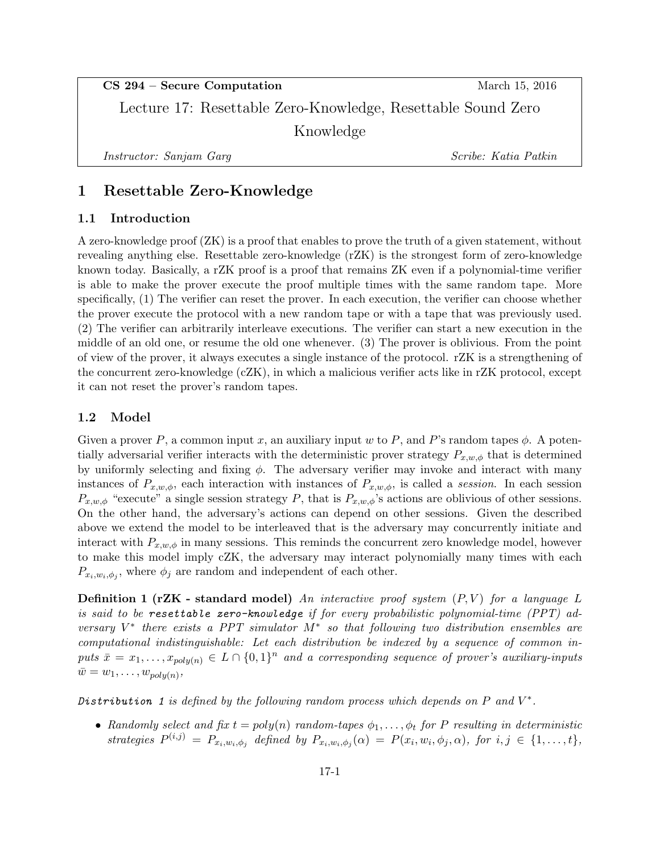CS 294 – Secure Computation March 15, 2016

Lecture 17: Resettable Zero-Knowledge, Resettable Sound Zero Knowledge

Instructor: Sanjam Garg Scribe: Katia Patkin

# 1 Resettable Zero-Knowledge

# 1.1 Introduction

A zero-knowledge proof (ZK) is a proof that enables to prove the truth of a given statement, without revealing anything else. Resettable zero-knowledge (rZK) is the strongest form of zero-knowledge known today. Basically, a rZK proof is a proof that remains ZK even if a polynomial-time verifier is able to make the prover execute the proof multiple times with the same random tape. More specifically, (1) The verifier can reset the prover. In each execution, the verifier can choose whether the prover execute the protocol with a new random tape or with a tape that was previously used. (2) The verifier can arbitrarily interleave executions. The verifier can start a new execution in the middle of an old one, or resume the old one whenever. (3) The prover is oblivious. From the point of view of the prover, it always executes a single instance of the protocol. rZK is a strengthening of the concurrent zero-knowledge (cZK), in which a malicious verifier acts like in rZK protocol, except it can not reset the prover's random tapes.

# 1.2 Model

Given a prover P, a common input x, an auxiliary input w to P, and P's random tapes  $\phi$ . A potentially adversarial verifier interacts with the deterministic prover strategy  $P_{x,w,\phi}$  that is determined by uniformly selecting and fixing  $\phi$ . The adversary verifier may invoke and interact with many instances of  $P_{x,w,\phi}$ , each interaction with instances of  $P_{x,w,\phi}$ , is called a session. In each session  $P_{x,w,\phi}$  "execute" a single session strategy P, that is  $P_{x,w,\phi}$ 's actions are oblivious of other sessions. On the other hand, the adversary's actions can depend on other sessions. Given the described above we extend the model to be interleaved that is the adversary may concurrently initiate and interact with  $P_{x,w,\phi}$  in many sessions. This reminds the concurrent zero knowledge model, however to make this model imply cZK, the adversary may interact polynomially many times with each  $P_{x_i,w_i,\phi_j}$ , where  $\phi_j$  are random and independent of each other.

**Definition 1 (rZK - standard model)** An interactive proof system  $(P, V)$  for a language L is said to be resettable zero-knowledge if for every probabilistic polynomial-time (PPT) adversary  $V^*$  there exists a PPT simulator  $M^*$  so that following two distribution ensembles are computational indistinguishable: Let each distribution be indexed by a sequence of common inputs  $\bar{x} = x_1, \ldots, x_{poly(n)} \in L \cap \{0,1\}^n$  and a corresponding sequence of prover's auxiliary-inputs  $\bar{w} = w_1, \ldots, w_{poly(n)},$ 

Distribution 1 is defined by the following random process which depends on  $P$  and  $V^*$ .

• Randomly select and fix  $t = poly(n)$  random-tapes  $\phi_1, \ldots, \phi_t$  for P resulting in deterministic strategies  $P^{(i,j)} = P_{x_i,w_i,\phi_j}$  defined by  $P_{x_i,w_i,\phi_j}(\alpha) = P(x_i,w_i,\phi_j,\alpha)$ , for  $i, j \in \{1,\ldots,t\}$ ,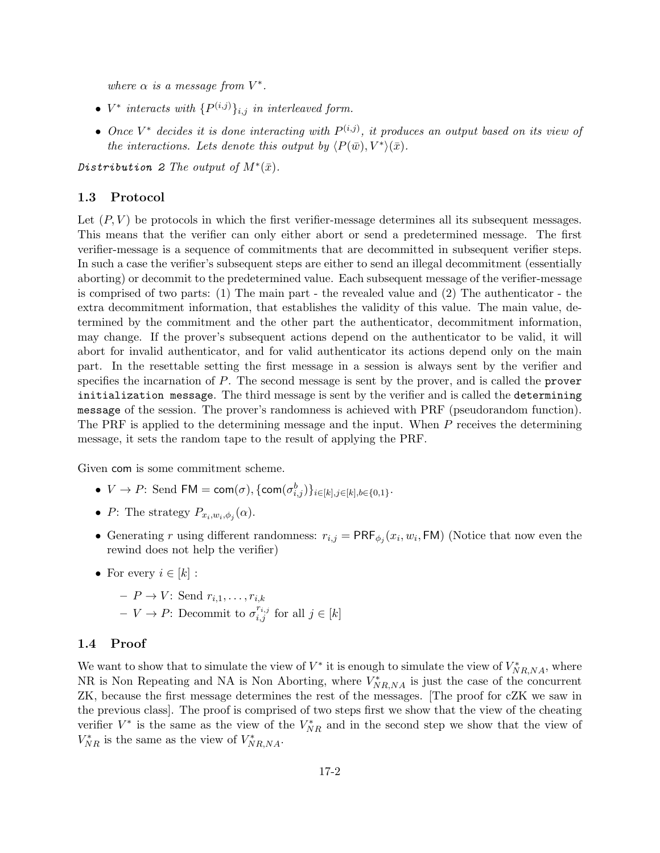where  $\alpha$  is a message from  $V^*$ .

- $V^*$  interacts with  $\{P^{(i,j)}\}_{i,j}$  in interleaved form.
- Once  $V^*$  decides it is done interacting with  $P^{(i,j)}$ , it produces an output based on its view of the interactions. Lets denote this output by  $\langle P(\bar{w}), V^* \rangle (\bar{x})$ .

Distribution 2 The output of  $M^*(\bar{x})$ .

### 1.3 Protocol

Let  $(P, V)$  be protocols in which the first verifier-message determines all its subsequent messages. This means that the verifier can only either abort or send a predetermined message. The first verifier-message is a sequence of commitments that are decommitted in subsequent verifier steps. In such a case the verifier's subsequent steps are either to send an illegal decommitment (essentially aborting) or decommit to the predetermined value. Each subsequent message of the verifier-message is comprised of two parts: (1) The main part - the revealed value and (2) The authenticator - the extra decommitment information, that establishes the validity of this value. The main value, determined by the commitment and the other part the authenticator, decommitment information, may change. If the prover's subsequent actions depend on the authenticator to be valid, it will abort for invalid authenticator, and for valid authenticator its actions depend only on the main part. In the resettable setting the first message in a session is always sent by the verifier and specifies the incarnation of P. The second message is sent by the prover, and is called the prover initialization message. The third message is sent by the verifier and is called the determining message of the session. The prover's randomness is achieved with PRF (pseudorandom function). The PRF is applied to the determining message and the input. When P receives the determining message, it sets the random tape to the result of applying the PRF.

Given com is some commitment scheme.

- $V \to P$ : Send FM = com( $\sigma$ ), {com( $\sigma_{i,j}^{b}$ )}<sub>i∈[k],j∈[k],b∈{0,1}</sub>.
- P: The strategy  $P_{x_i,w_i,\phi_j}(\alpha)$ .
- Generating r using different randomness:  $r_{i,j} = \text{PRF}_{\phi_j}(x_i, w_i, \text{FM})$  (Notice that now even the rewind does not help the verifier)
- For every  $i \in [k]$ :
	- $-P \to V$ : Send  $r_{i,1}, \ldots, r_{i,k}$  $- V \to P$ : Decommit to  $\sigma_{i,j}^{r_{i,j}}$  for all  $j \in [k]$

#### 1.4 Proof

We want to show that to simulate the view of  $V^*$  it is enough to simulate the view of  $V^*_{NR,NA}$ , where NR is Non Repeating and NA is Non Aborting, where  $V^*_{NR,NA}$  is just the case of the concurrent ZK, because the first message determines the rest of the messages. [The proof for cZK we saw in the previous class]. The proof is comprised of two steps first we show that the view of the cheating verifier  $V^*$  is the same as the view of the  $V_{NR}^*$  and in the second step we show that the view of  $V_{NR}^*$  is the same as the view of  $V_{NR,NA}^*$ .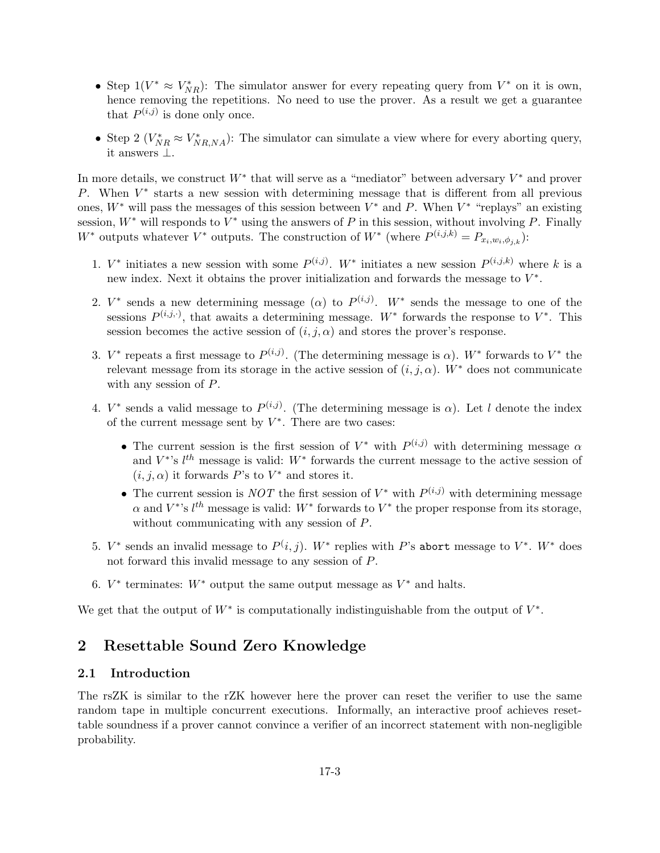- Step  $1(V^* \approx V^*_{NR})$ : The simulator answer for every repeating query from  $V^*$  on it is own, hence removing the repetitions. No need to use the prover. As a result we get a guarantee that  $P^{(i,j)}$  is done only once.
- Step 2  $(V_{NR}^* \approx V_{NR,NA}^*)$ : The simulator can simulate a view where for every aborting query, it answers ⊥.

In more details, we construct  $W^*$  that will serve as a "mediator" between adversary  $V^*$  and prover P. When  $V^*$  starts a new session with determining message that is different from all previous ones,  $W^*$  will pass the messages of this session between  $V^*$  and P. When  $V^*$  "replays" an existing session,  $W^*$  will responds to  $V^*$  using the answers of P in this session, without involving P. Finally W<sup>\*</sup> outputs whatever  $V^*$  outputs. The construction of  $W^*$  (where  $P^{(i,j,k)} = P_{x_i,w_i,\phi_{j,k}}$ ):

- 1.  $V^*$  initiates a new session with some  $P^{(i,j)}$ .  $W^*$  initiates a new session  $P^{(i,j,k)}$  where k is a new index. Next it obtains the prover initialization and forwards the message to  $V^*$ .
- 2.  $V^*$  sends a new determining message ( $\alpha$ ) to  $P^{(i,j)}$ .  $W^*$  sends the message to one of the sessions  $P^{(i,j,\cdot)}$ , that awaits a determining message.  $W^*$  forwards the response to  $V^*$ . This session becomes the active session of  $(i, j, \alpha)$  and stores the prover's response.
- 3.  $V^*$  repeats a first message to  $P^{(i,j)}$ . (The determining message is  $\alpha$ ).  $W^*$  forwards to  $V^*$  the relevant message from its storage in the active session of  $(i, j, \alpha)$ . W<sup>\*</sup> does not communicate with any session of P.
- 4.  $V^*$  sends a valid message to  $P^{(i,j)}$ . (The determining message is  $\alpha$ ). Let l denote the index of the current message sent by  $V^*$ . There are two cases:
	- The current session is the first session of  $V^*$  with  $P^{(i,j)}$  with determining message  $\alpha$ and  $V^*$ 's  $l^{th}$  message is valid:  $W^*$  forwards the current message to the active session of  $(i, j, \alpha)$  it forwards P's to  $V^*$  and stores it.
	- The current session is NOT the first session of  $V^*$  with  $P^{(i,j)}$  with determining message  $\alpha$  and  $V^{*}$ 's  $l^{th}$  message is valid:  $W^{*}$  forwards to  $V^{*}$  the proper response from its storage, without communicating with any session of P.
- 5.  $V^*$  sends an invalid message to  $P(i, j)$ .  $W^*$  replies with P's abort message to  $V^*$ .  $W^*$  does not forward this invalid message to any session of P.
- 6.  $V^*$  terminates:  $W^*$  output the same output message as  $V^*$  and halts.

We get that the output of  $W^*$  is computationally indistinguishable from the output of  $V^*$ .

# 2 Resettable Sound Zero Knowledge

## 2.1 Introduction

The rsZK is similar to the rZK however here the prover can reset the verifier to use the same random tape in multiple concurrent executions. Informally, an interactive proof achieves resettable soundness if a prover cannot convince a verifier of an incorrect statement with non-negligible probability.